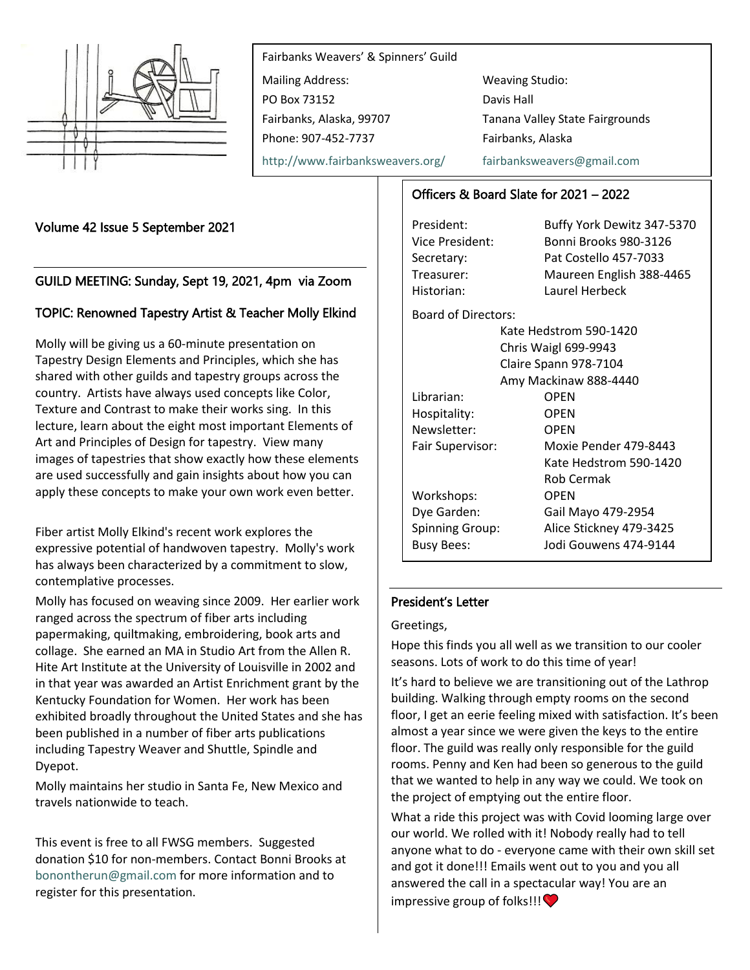

Fairbanks Weavers' & Spinners' Guild Mailing Address: Weaving Studio: PO Box 73152 Davis Hall Fairbanks, Alaska, 99707 Tanana Valley State Fairgrounds Phone: 907-452-7737 Fairbanks, Alaska <http://www.fairbanksweavers.org/> [fairbanksweavers@gmail.com](mailto:fairbanksweavers@gmail.com)

Volume 42 Issue 5 September 2021

# GUILD MEETING: Sunday, Sept 19, 2021, 4pm via Zoom

## TOPIC: Renowned Tapestry Artist & Teacher Molly Elkind

Molly will be giving us a 60-minute presentation on Tapestry Design Elements and Principles, which she has shared with other guilds and tapestry groups across the country. Artists have always used concepts like Color, Texture and Contrast to make their works sing. In this lecture, learn about the eight most important Elements of Art and Principles of Design for tapestry. View many images of tapestries that show exactly how these elements are used successfully and gain insights about how you can apply these concepts to make your own work even better.

Fiber artist Molly Elkind's recent work explores the expressive potential of handwoven tapestry. Molly's work has always been characterized by a commitment to slow, contemplative processes.

Molly has focused on weaving since 2009. Her earlier work ranged across the spectrum of fiber arts including papermaking, quiltmaking, embroidering, book arts and collage. She earned an MA in Studio Art from the Allen R. Hite Art Institute at the University of Louisville in 2002 and in that year was awarded an Artist Enrichment grant by the Kentucky Foundation for Women. Her work has been exhibited broadly throughout the United States and she has been published in a number of fiber arts publications including Tapestry Weaver and Shuttle, Spindle and Dyepot.

Molly maintains her studio in Santa Fe, New Mexico and travels nationwide to teach.

This event is free to all FWSG members. Suggested donation \$10 for non-members. Contact Bonni Brooks at [bonontherun@gmail.com](mailto:bonontherun@gmail.com) for more information and to register for this presentation.

# Officers & Board Slate for 2021 – 2022

President: Buffy York Dewitz 347-5370 Vice President: Bonni Brooks 980-3126 Secretary: Pat Costello 457-7033 Treasurer: Maureen English 388-4465 Historian: Laurel Herbeck Board of Directors: Kate Hedstrom 590-1420 Chris Waigl 699-9943 Claire Spann 978-7104 Amy Mackinaw 888-4440 Librarian: OPEN Hospitality: OPEN Newsletter: OPEN Fair Supervisor: Moxie Pender 479-8443 Kate Hedstrom 590-1420 Rob Cermak Workshops: OPEN Dye Garden: Gail Mayo 479-2954 Spinning Group: Alice Stickney 479-3425 Busy Bees: Jodi Gouwens 474-9144

### President's Letter

Greetings,

Hope this finds you all well as we transition to our cooler seasons. Lots of work to do this time of year!

It's hard to believe we are transitioning out of the Lathrop building. Walking through empty rooms on the second floor, I get an eerie feeling mixed with satisfaction. It's been almost a year since we were given the keys to the entire floor. The guild was really only responsible for the guild rooms. Penny and Ken had been so generous to the guild that we wanted to help in any way we could. We took on the project of emptying out the entire floor.

What a ride this project was with Covid looming large over our world. We rolled with it! Nobody really had to tell anyone what to do - everyone came with their own skill set and got it done!!! Emails went out to you and you all answered the call in a spectacular way! You are an impressive group of folks!!! $\bullet$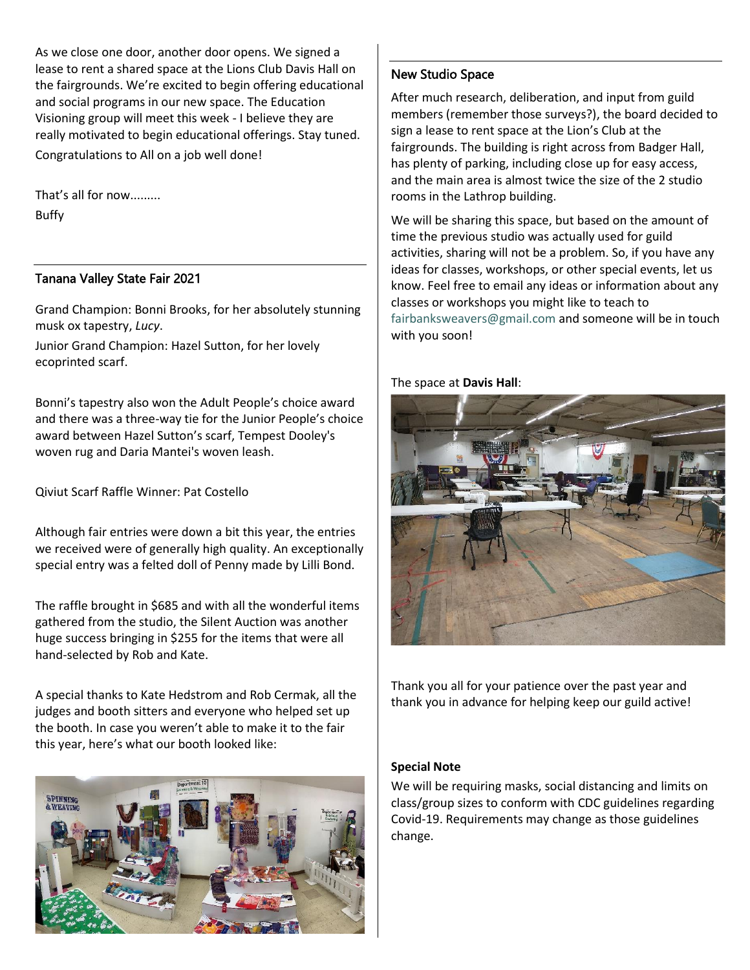As we close one door, another door opens. We signed a lease to rent a shared space at the Lions Club Davis Hall on the fairgrounds. We're excited to begin offering educational and social programs in our new space. The Education Visioning group will meet this week - I believe they are really motivated to begin educational offerings. Stay tuned. Congratulations to All on a job well done!

That's all for now......... Buffy

## Tanana Valley State Fair 2021

Grand Champion: Bonni Brooks, for her absolutely stunning musk ox tapestry, *Lucy*.

Junior Grand Champion: Hazel Sutton, for her lovely ecoprinted scarf.

Bonni's tapestry also won the Adult People's choice award and there was a three-way tie for the Junior People's choice award between Hazel Sutton's scarf, Tempest Dooley's woven rug and Daria Mantei's woven leash.

Qiviut Scarf Raffle Winner: Pat Costello

Although fair entries were down a bit this year, the entries we received were of generally high quality. An exceptionally special entry was a felted doll of Penny made by Lilli Bond.

The raffle brought in \$685 and with all the wonderful items gathered from the studio, the Silent Auction was another huge success bringing in \$255 for the items that were all hand-selected by Rob and Kate.

A special thanks to Kate Hedstrom and Rob Cermak, all the judges and booth sitters and everyone who helped set up the booth. In case you weren't able to make it to the fair this year, here's what our booth looked like:



### New Studio Space

After much research, deliberation, and input from guild members (remember those surveys?), the board decided to sign a lease to rent space at the Lion's Club at the fairgrounds. The building is right across from Badger Hall, has plenty of parking, including close up for easy access, and the main area is almost twice the size of the 2 studio rooms in the Lathrop building.

We will be sharing this space, but based on the amount of time the previous studio was actually used for guild activities, sharing will not be a problem. So, if you have any ideas for classes, workshops, or other special events, let us know. Feel free to email any ideas or information about any classes or workshops you might like to teach to [fairbanksweavers@gmail.com](mailto:fairbanksweavers@gmail.com) and someone will be in touch with you soon!

The space at **Davis Hall**:



Thank you all for your patience over the past year and thank you in advance for helping keep our guild active!

### **Special Note**

We will be requiring masks, social distancing and limits on class/group sizes to conform with CDC guidelines regarding Covid-19. Requirements may change as those guidelines change.